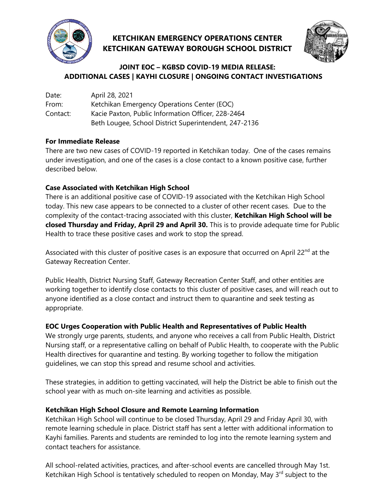

# **KETCHIKAN EMERGENCY OPERATIONS CENTER KETCHIKAN GATEWAY BOROUGH SCHOOL DISTRICT**



## **JOINT EOC – KGBSD COVID-19 MEDIA RELEASE: ADDITIONAL CASES | KAYHI CLOSURE | ONGOING CONTACT INVESTIGATIONS**

| Date:    | April 28, 2021                                        |
|----------|-------------------------------------------------------|
| From:    | Ketchikan Emergency Operations Center (EOC)           |
| Contact: | Kacie Paxton, Public Information Officer, 228-2464    |
|          | Beth Lougee, School District Superintendent, 247-2136 |

#### **For Immediate Release**

There are two new cases of COVID-19 reported in Ketchikan today. One of the cases remains under investigation, and one of the cases is a close contact to a known positive case, further described below.

### **Case Associated with Ketchikan High School**

There is an additional positive case of COVID-19 associated with the Ketchikan High School today. This new case appears to be connected to a cluster of other recent cases. Due to the complexity of the contact-tracing associated with this cluster, **Ketchikan High School will be closed Thursday and Friday, April 29 and April 30.** This is to provide adequate time for Public Health to trace these positive cases and work to stop the spread.

Associated with this cluster of positive cases is an exposure that occurred on April 22<sup>nd</sup> at the Gateway Recreation Center.

Public Health, District Nursing Staff, Gateway Recreation Center Staff, and other entities are working together to identify close contacts to this cluster of positive cases, and will reach out to anyone identified as a close contact and instruct them to quarantine and seek testing as appropriate.

### **EOC Urges Cooperation with Public Health and Representatives of Public Health**

We strongly urge parents, students, and anyone who receives a call from Public Health, District Nursing staff, or a representative calling on behalf of Public Health, to cooperate with the Public Health directives for quarantine and testing. By working together to follow the mitigation guidelines, we can stop this spread and resume school and activities.

These strategies, in addition to getting vaccinated, will help the District be able to finish out the school year with as much on-site learning and activities as possible.

### **Ketchikan High School Closure and Remote Learning Information**

Ketchikan High School will continue to be closed Thursday, April 29 and Friday April 30, with remote learning schedule in place. District staff has sent a letter with additional information to Kayhi families. Parents and students are reminded to log into the remote learning system and contact teachers for assistance.

All school-related activities, practices, and after-school events are cancelled through May 1st. Ketchikan High School is tentatively scheduled to reopen on Monday, May 3<sup>rd</sup> subject to the